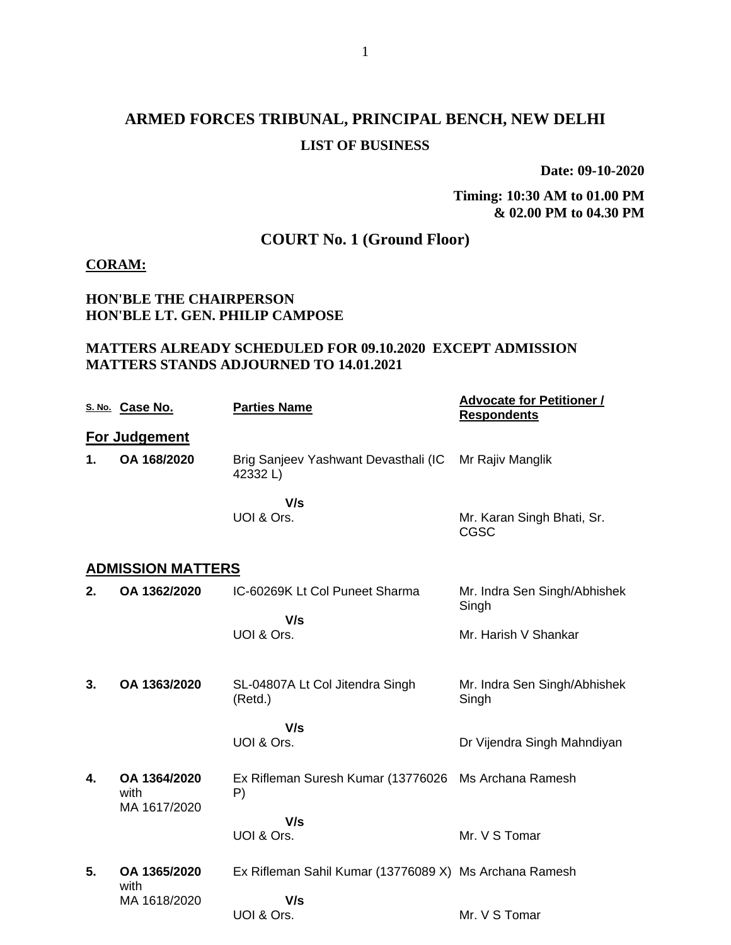# **ARMED FORCES TRIBUNAL, PRINCIPAL BENCH, NEW DELHI LIST OF BUSINESS**

**Date: 09-10-2020**

**Timing: 10:30 AM to 01.00 PM & 02.00 PM to 04.30 PM**

# **COURT No. 1 (Ground Floor)**

#### **CORAM:**

## **HON'BLE THE CHAIRPERSON HON'BLE LT. GEN. PHILIP CAMPOSE**

## **MATTERS ALREADY SCHEDULED FOR 09.10.2020 EXCEPT ADMISSION MATTERS STANDS ADJOURNED TO 14.01.2021**

|    | S. No. Case No.                      | <b>Parties Name</b>                                    | <b>Advocate for Petitioner /</b><br><b>Respondents</b> |
|----|--------------------------------------|--------------------------------------------------------|--------------------------------------------------------|
|    | <b>For Judgement</b>                 |                                                        |                                                        |
| 1. | OA 168/2020                          | Brig Sanjeev Yashwant Devasthali (IC<br>42332L)        | Mr Rajiv Manglik                                       |
|    |                                      | V/s<br>UOI & Ors.                                      | Mr. Karan Singh Bhati, Sr.<br>CGSC                     |
|    | <b>ADMISSION MATTERS</b>             |                                                        |                                                        |
| 2. | OA 1362/2020                         | IC-60269K Lt Col Puneet Sharma                         | Mr. Indra Sen Singh/Abhishek<br>Singh                  |
|    |                                      | V/s<br>UOI & Ors.                                      | Mr. Harish V Shankar                                   |
| 3. | OA 1363/2020                         | SL-04807A Lt Col Jitendra Singh<br>(Retd.)             | Mr. Indra Sen Singh/Abhishek<br>Singh                  |
|    |                                      | V/s<br>UOI & Ors.                                      | Dr Vijendra Singh Mahndiyan                            |
| 4. | OA 1364/2020<br>with<br>MA 1617/2020 | Ex Rifleman Suresh Kumar (13776026<br>P)               | Ms Archana Ramesh                                      |
|    |                                      | V/s<br>UOI & Ors.                                      | Mr. V S Tomar                                          |
| 5. | OA 1365/2020<br>with                 | Ex Rifleman Sahil Kumar (13776089 X) Ms Archana Ramesh |                                                        |
|    | MA 1618/2020                         | V/s<br>UOI & Ors.                                      | Mr. V S Tomar                                          |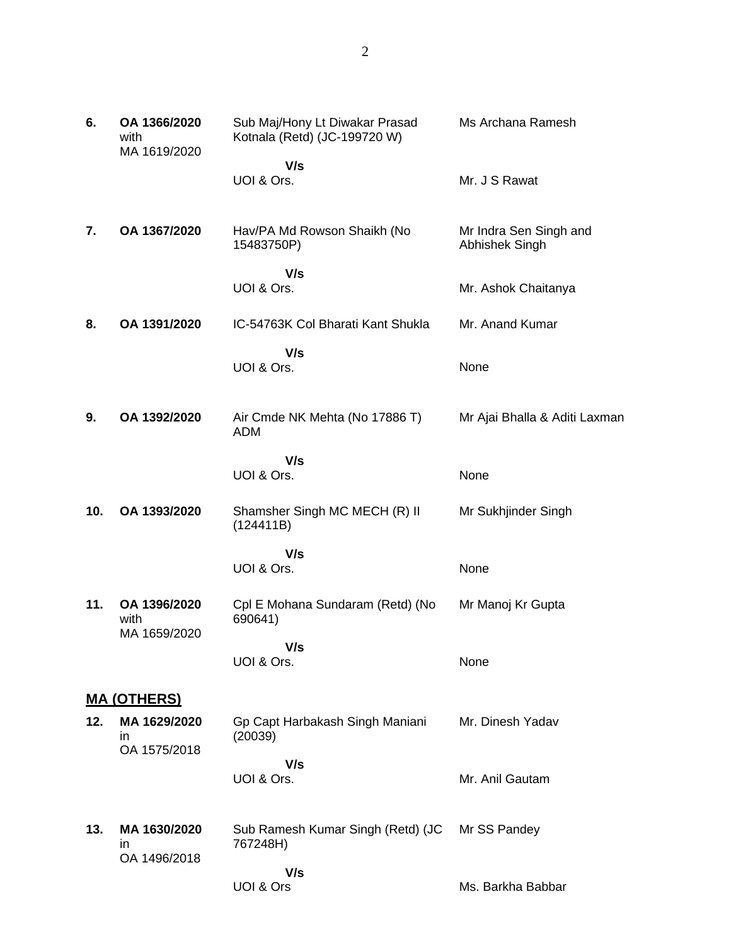| Sub Maj/Hony Lt Diwakar Prasad<br>Kotnala (Retd) (JC-199720 W) |
|----------------------------------------------------------------|
| V/s<br>UOI & Ors.                                              |

Ms Archana Ramesh

Mr. J S Rawat

None

None

None

**7. OA 1367/2020** Hav/PA Md Rowson Shaikh (No 15483750P)  **V/s** UOI & Ors. Mr Indra Sen Singh and Abhishek Singh Mr. Ashok Chaitanya

- **8. OA 1391/2020** IC-54763K Col Bharati Kant Shukla  **V/s** UOI & Ors. Mr. Anand Kumar None
- **9. OA 1392/2020** Air Cmde NK Mehta (No 17886 T) ADM Mr Ajai Bhalla & Aditi Laxman

 **V/s** UOI & Ors.

**10. OA 1393/2020** Shamsher Singh MC MECH (R) II (124411B) Mr Sukhjinder Singh

> **V/s** UOI & Ors.

**11. OA 1396/2020** with MA 1659/2020 Cpl E Mohana Sundaram (Retd) (No 690641)  **V/s** Mr Manoj Kr Gupta

UOI & Ors.

**MA (OTHERS)**

**6. OA 1366/2020** with

MA 1619/2020

- **12. MA 1629/2020** in OA 1575/2018 Gp Capt Harbakash Singh Maniani (20039)  **V/s** UOI & Ors. Mr. Dinesh Yadav Mr. Anil Gautam
- **13. MA 1630/2020** in OA 1496/2018 Sub Ramesh Kumar Singh (Retd) (JC 767248H)  **V/s** UOI & Ors Mr SS Pandey Ms. Barkha Babbar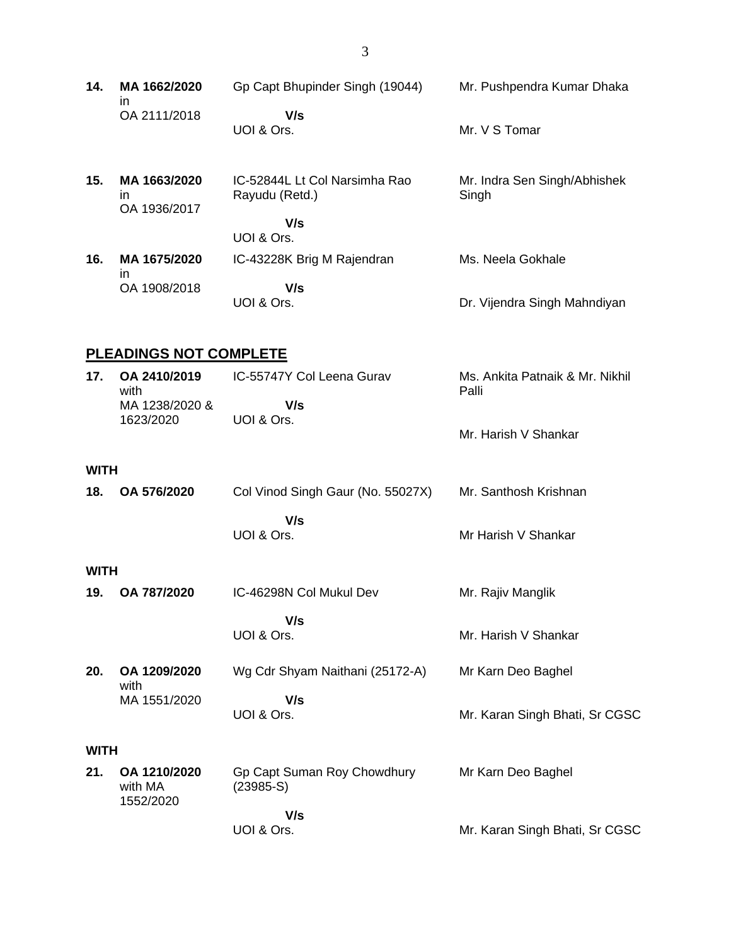| 14. | MA 1662/2020 | Gp Capt Bhupinder Singh (19044) | Mr. Pushpendra Kumar Dhaka |
|-----|--------------|---------------------------------|----------------------------|
|     | OA 2111/2018 | V/s<br>UOI & Ors.               | Mr. V S Tomar              |

| 15. | MA 1663/2020<br>in<br>OA 1936/2017 | IC-52844L Lt Col Narsimha Rao<br>Rayudu (Retd.) | Mr. Indra Sen Singh/Abhishek<br>Singh |
|-----|------------------------------------|-------------------------------------------------|---------------------------------------|
|     |                                    | V/s<br>UOI & Ors.                               |                                       |
| 16. | MA 1675/2020<br>ın                 | IC-43228K Brig M Rajendran                      | Ms. Neela Gokhale                     |
|     | OA 1908/2018                       | V/s<br>UOI & Ors.                               | Dr. Vijendra Singh Mahndiyan          |

# **PLEADINGS NOT COMPLETE**

| 17. | OA 2410/2019<br>with | IC-55747Y Col Leena Gurav | Ms. Ankita Patnaik & Mr. Nikhil<br>Palli |
|-----|----------------------|---------------------------|------------------------------------------|
|     | MA 1238/2020 &       | V/s                       |                                          |
|     | 1623/2020            | UOI & Ors.                |                                          |
|     |                      |                           | Mr. Harish V Shankar                     |

#### **WITH**

| 18. | OA 576/2020 | Col Vinod Singh Gaur (No. 55027X) | Mr. Santhosh Krishnan |
|-----|-------------|-----------------------------------|-----------------------|
|     |             | V/s                               |                       |
|     |             | UOI & Ors.                        | Mr Harish V Shankar   |

#### **WITH**

| 19. OA 787/2020 | IC-46298N Col Mukul Dev | Mr. Rajiv Manglik    |
|-----------------|-------------------------|----------------------|
|                 | V/s                     |                      |
|                 | UOI & Ors.              | Mr. Harish V Shankar |

**20. OA 1209/2020** with MA 1551/2020 Wg Cdr Shyam Naithani (25172-A)  **V/s** UOI & Ors. Mr Karn Deo Baghel Mr. Karan Singh Bhati, Sr CGSC

#### **WITH**

| 21. | OA 1210/2020<br>with MA<br>1552/2020 | Gp Capt Suman Roy Chowdhury<br>$(23985-S)$ | Mr Karn Deo Baghel             |
|-----|--------------------------------------|--------------------------------------------|--------------------------------|
|     |                                      | V/s                                        |                                |
|     |                                      | UOI & Ors.                                 | Mr. Karan Singh Bhati, Sr CGSC |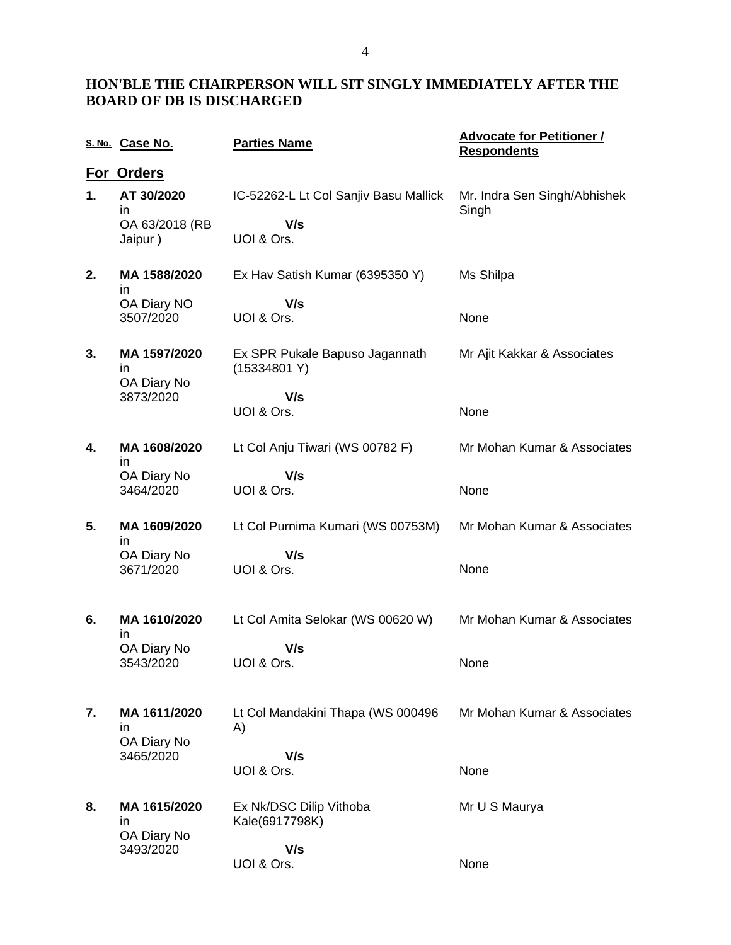## **HON'BLE THE CHAIRPERSON WILL SIT SINGLY IMMEDIATELY AFTER THE BOARD OF DB IS DISCHARGED**

|    | S. No. Case No.                               | <b>Parties Name</b>                                        | <b>Advocate for Petitioner /</b><br><b>Respondents</b> |
|----|-----------------------------------------------|------------------------------------------------------------|--------------------------------------------------------|
|    | For Orders                                    |                                                            |                                                        |
| 1. | AT 30/2020<br>in<br>OA 63/2018 (RB<br>Jaipur) | IC-52262-L Lt Col Sanjiv Basu Mallick<br>V/s<br>UOI & Ors. | Mr. Indra Sen Singh/Abhishek<br>Singh                  |
| 2. | MA 1588/2020<br>in                            | Ex Hav Satish Kumar (6395350 Y)                            | Ms Shilpa                                              |
|    | OA Diary NO<br>3507/2020                      | V/s<br>UOI & Ors.                                          | None                                                   |
| 3. | MA 1597/2020<br>in<br>OA Diary No             | Ex SPR Pukale Bapuso Jagannath<br>(15334801 Y)             | Mr Ajit Kakkar & Associates                            |
|    | 3873/2020                                     | V/s<br>UOI & Ors.                                          | None                                                   |
| 4. | MA 1608/2020<br>in                            | Lt Col Anju Tiwari (WS 00782 F)                            | Mr Mohan Kumar & Associates                            |
|    | OA Diary No<br>3464/2020                      | V/s<br>UOI & Ors.                                          | None                                                   |
| 5. | MA 1609/2020<br>in                            | Lt Col Purnima Kumari (WS 00753M)                          | Mr Mohan Kumar & Associates                            |
|    | OA Diary No<br>3671/2020                      | V/s<br>UOI & Ors.                                          | None                                                   |
| 6. | MA 1610/2020<br>in                            | Lt Col Amita Selokar (WS 00620 W)                          | Mr Mohan Kumar & Associates                            |
|    | OA Diary No<br>3543/2020                      | V/s<br>UOI & Ors.                                          | None                                                   |
| 7. | MA 1611/2020<br>in<br>OA Diary No             | Lt Col Mandakini Thapa (WS 000496<br>A)                    | Mr Mohan Kumar & Associates                            |
|    | 3465/2020                                     | V/s<br>UOI & Ors.                                          | None                                                   |
| 8. | MA 1615/2020<br>in                            | Ex Nk/DSC Dilip Vithoba<br>Kale(6917798K)                  | Mr U S Maurya                                          |
|    | OA Diary No<br>3493/2020                      | V/s<br>UOI & Ors.                                          | None                                                   |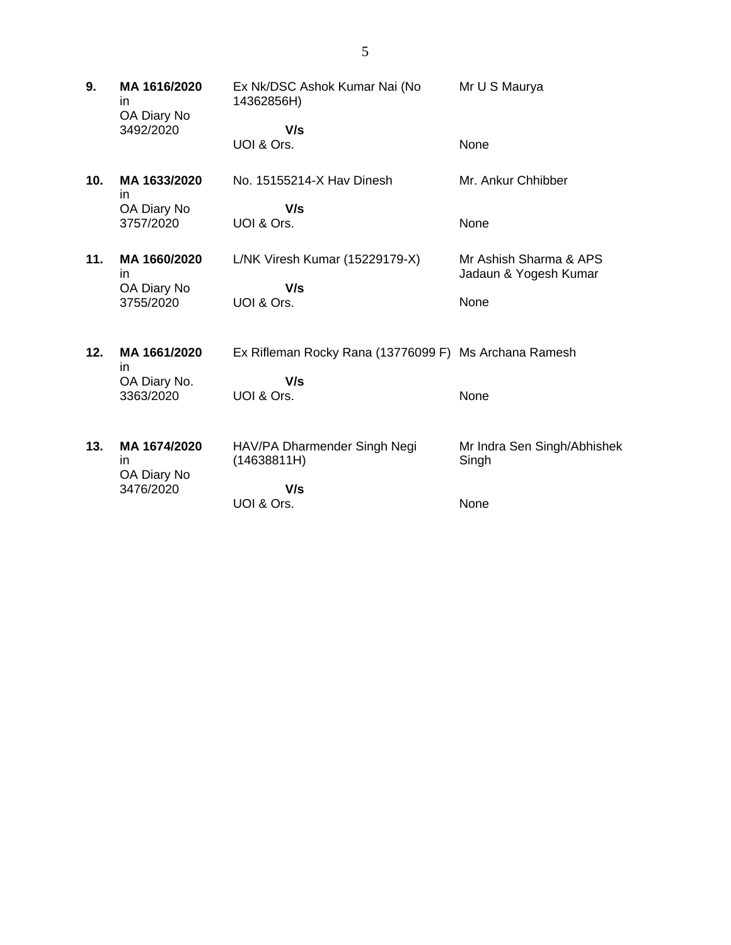**9. MA 1616/2020** in OA Diary No 3492/2020 Ex Nk/DSC Ashok Kumar Nai (No 14362856H)  **V/s** UOI & Ors. Mr U S Maurya None **10. MA 1633/2020** in OA Diary No 3757/2020 No. 15155214-X Hav Dinesh  **V/s** UOI & Ors. Mr. Ankur Chhibber None **11. MA 1660/2020** in OA Diary No 3755/2020 L/NK Viresh Kumar (15229179-X)  **V/s** UOI & Ors. Mr Ashish Sharma & APS Jadaun & Yogesh Kumar None **12. MA 1661/2020** in OA Diary No. 3363/2020 Ex Rifleman Rocky Rana (13776099 F) Ms Archana Ramesh  **V/s** UOI & Ors. None **13. MA 1674/2020** in OA Diary No 3476/2020 HAV/PA Dharmender Singh Negi (14638811H)  **V/s** UOI & Ors. Mr Indra Sen Singh/Abhishek Singh None